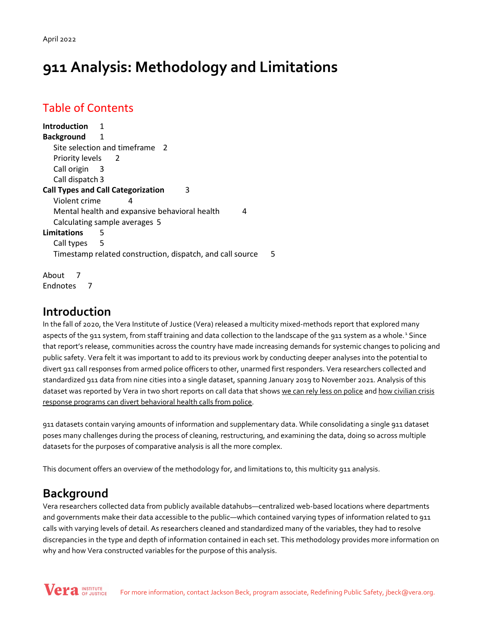April 2022

# **911 Analysis: Methodology and Limitations**

## Table of Contents

**Introduction** 1 **Background** 1 Site selection and timeframe 2 Priority levels 2 Call origin 3 Call dispatch 3 **Call Types and Call Categorization** 3 Violent crime 4 Mental health and expansive behavioral health 4 Calculating sample averages 5 **Limitations** 5 Call types 5 Timestamp related construction, dispatch, and call source 5

About 7 Endnotes 7

## **Introduction**

In the fall of 2020, the Vera Institute of Justice (Vera) released a multicity mixed-methods report that explored many aspects of the 9[1](#page-6-0)1 system, from staff training and data collection to the landscape of the 911 system as a whole.<sup>1</sup> Since that report's release, communities across the country have made increasing demands for systemic changes to policing and public safety. Vera felt it was important to add to its previous work by conducting deeper analyses into the potential to divert 911 call responses from armed police officers to other, unarmed first responders. Vera researchers collected and standardized 911 data from nine cities into a single dataset, spanning January 2019 to November 2021. Analysis of this dataset was reported by Vera in two short reports on call data that shows [we can rely less on police](https://www.vera.org/downloads/publications/911-analysis-we-can-rely-less-on-police.pdf) and [how civilian crisis](https://www.vera.org/downloads/publications/911-analysis-civilian-crisis-responders.pdf)  [response programs can divert behavioral health calls from police.](https://www.vera.org/downloads/publications/911-analysis-civilian-crisis-responders.pdf)

911 datasets contain varying amounts of information and supplementary data. While consolidating a single 911 dataset poses many challenges during the process of cleaning, restructuring, and examining the data, doing so across multiple datasets for the purposes of comparative analysis is all the more complex.

This document offers an overview of the methodology for, and limitations to, this multicity 911 analysis.

# **Background**

Vera researchers collected data from publicly available datahubs—centralized web-based locations where departments and governments make their data accessible to the public—which contained varying types of information related to 911 calls with varying levels of detail. As researchers cleaned and standardized many of the variables, they had to resolve discrepancies in the type and depth of information contained in each set. This methodology provides more information on why and how Vera constructed variables for the purpose of this analysis.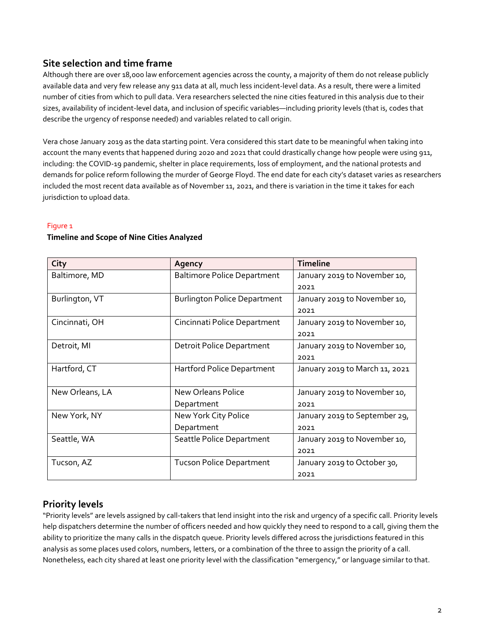#### **Site selection and time frame**

Although there are over 18,000 law enforcement agencies across the county, a majority of them do not release publicly available data and very few release any 911 data at all, much less incident-level data. As a result, there were a limited number of cities from which to pull data. Vera researchers selected the nine cities featured in this analysis due to their sizes, availability of incident-level data, and inclusion of specific variables—including priority levels (that is, codes that describe the urgency of response needed) and variables related to call origin.

Vera chose January 2019 as the data starting point. Vera considered this start date to be meaningful when taking into account the many events that happened during 2020 and 2021 that could drastically change how people were using 911, including: the COVID-19 pandemic, shelter in place requirements, loss of employment, and the national protests and demands for police reform following the murder of George Floyd. The end date for each city's dataset varies as researchers included the most recent data available as of November 11, 2021, and there is variation in the time it takes for each jurisdiction to upload data.

#### Figure 1

#### **Timeline and Scope of Nine Cities Analyzed**

| City            | Agency                              | <b>Timeline</b>                |
|-----------------|-------------------------------------|--------------------------------|
| Baltimore, MD   | <b>Baltimore Police Department</b>  | January 2019 to November 10,   |
|                 |                                     | 2021                           |
| Burlington, VT  | <b>Burlington Police Department</b> | January 2019 to November 10,   |
|                 |                                     | 2021                           |
| Cincinnati, OH  | Cincinnati Police Department        | January 2019 to November 10,   |
|                 |                                     | 2021                           |
| Detroit, MI     | <b>Detroit Police Department</b>    | January 2019 to November 10,   |
|                 |                                     | 2021                           |
| Hartford, CT    | Hartford Police Department          | January 2019 to March 11, 2021 |
|                 |                                     |                                |
| New Orleans, LA | <b>New Orleans Police</b>           | January 2019 to November 10,   |
|                 | Department                          | 2021                           |
| New York, NY    | New York City Police                | January 2019 to September 29,  |
|                 | Department                          | 2021                           |
| Seattle, WA     | Seattle Police Department           | January 2019 to November 10,   |
|                 |                                     | 2021                           |
| Tucson, AZ      | <b>Tucson Police Department</b>     | January 2019 to October 30,    |
|                 |                                     | 2021                           |

## **Priority levels**

"Priority levels" are levels assigned by call-takers that lend insight into the risk and urgency of a specific call. Priority levels help dispatchers determine the number of officers needed and how quickly they need to respond to a call, giving them the ability to prioritize the many calls in the dispatch queue. Priority levels differed across the jurisdictions featured in this analysis as some places used colors, numbers, letters, or a combination of the three to assign the priority of a call. Nonetheless, each city shared at least one priority level with the classification "emergency," or language similar to that.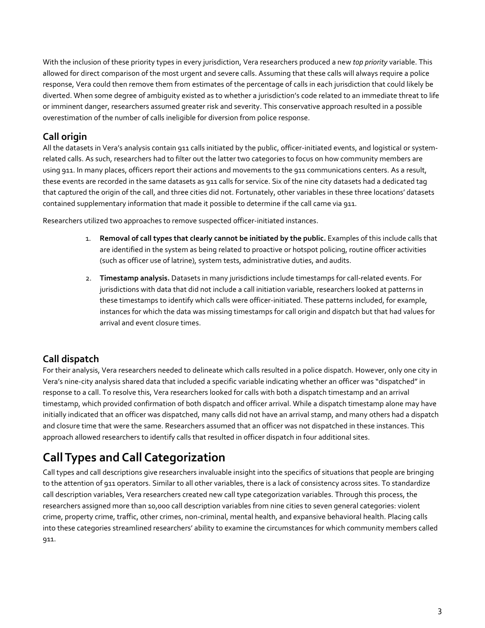With the inclusion of these priority types in every jurisdiction, Vera researchers produced a new *top priority* variable. This allowed for direct comparison of the most urgent and severe calls. Assuming that these calls will always require a police response, Vera could then remove them from estimates of the percentage of calls in each jurisdiction that could likely be diverted. When some degree of ambiguity existed as to whether a jurisdiction's code related to an immediate threat to life or imminent danger, researchers assumed greater risk and severity. This conservative approach resulted in a possible overestimation of the number of calls ineligible for diversion from police response.

#### **Call origin**

All the datasets in Vera's analysis contain 911 calls initiated by the public, officer-initiated events, and logistical or systemrelated calls. As such, researchers had to filter out the latter two categories to focus on how community members are using 911. In many places, officers report their actions and movements to the 911 communications centers. As a result, these events are recorded in the same datasets as 911 calls for service. Six of the nine city datasets had a dedicated tag that captured the origin of the call, and three cities did not. Fortunately, other variables in these three locations' datasets contained supplementary information that made it possible to determine if the call came via 911.

Researchers utilized two approaches to remove suspected officer-initiated instances.

- 1. **Removal of call types that clearly cannot be initiated by the public.** Examples of this include calls that are identified in the system as being related to proactive or hotspot policing, routine officer activities (such as officer use of latrine), system tests, administrative duties, and audits.
- 2. **Timestamp analysis.** Datasets in many jurisdictions include timestamps for call-related events. For jurisdictions with data that did not include a call initiation variable, researchers looked at patterns in these timestamps to identify which calls were officer-initiated. These patterns included, for example, instances for which the data was missing timestamps for call origin and dispatch but that had values for arrival and event closure times.

## **Call dispatch**

For their analysis, Vera researchers needed to delineate which calls resulted in a police dispatch. However, only one city in Vera's nine-city analysis shared data that included a specific variable indicating whether an officer was "dispatched" in response to a call. To resolve this, Vera researchers looked for calls with both a dispatch timestamp and an arrival timestamp, which provided confirmation of both dispatch and officer arrival. While a dispatch timestamp alone may have initially indicated that an officer was dispatched, many calls did not have an arrival stamp, and many others had a dispatch and closure time that were the same. Researchers assumed that an officer was not dispatched in these instances. This approach allowed researchers to identify calls that resulted in officer dispatch in four additional sites.

# **Call Types and Call Categorization**

Call types and call descriptions give researchers invaluable insight into the specifics of situations that people are bringing to the attention of 911 operators. Similar to all other variables, there is a lack of consistency across sites. To standardize call description variables, Vera researchers created new call type categorization variables. Through this process, the researchers assigned more than 10,000 call description variables from nine cities to seven general categories: violent crime, property crime, traffic, other crimes, non-criminal, mental health, and expansive behavioral health. Placing calls into these categories streamlined researchers' ability to examine the circumstances for which community members called 911.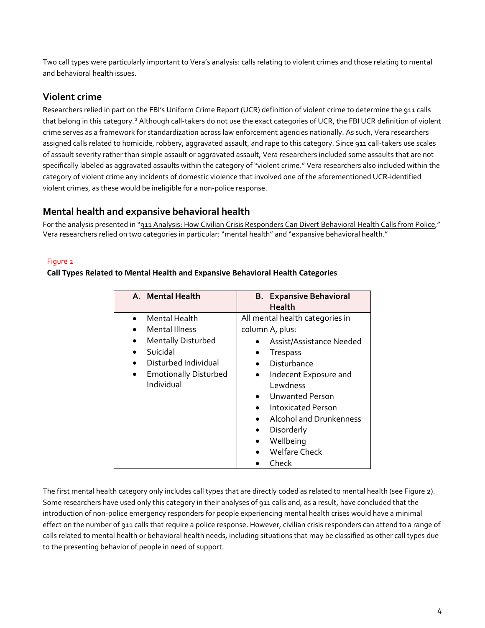Two call types were particularly important to Vera's analysis: calls relating to violent crimes and those relating to mental and behavioral health issues.

## **Violent crime**

Researchers relied in part on the FBI's Uniform Crime Report (UCR) definition of violent crime to determine the 911 calls that belong in this category.[2](#page-6-1) Although call-takers do not use the exact categories of UCR, the FBI UCR definition of violent crime serves as a framework for standardization across law enforcement agencies nationally. As such, Vera researchers assigned calls related to homicide, robbery, aggravated assault, and rape to this category. Since 911 call-takers use scales of assault severity rather than simple assault or aggravated assault, Vera researchers included some assaults that are not specifically labeled as aggravated assaults within the category of "violent crime." Vera researchers also included within the category of violent crime any incidents of domestic violence that involved one of the aforementioned UCR-identified violent crimes, as these would be ineligible for a non-police response.

#### **Mental health and expansive behavioral health**

For the analysis presented in ["911 Analysis: How Civilian Crisis Responders Can Divert Behavioral Health Calls from Police,](https://www.vera.org/downloads/publications/911-analysis-civilian-crisis-responders.pdf)" Vera researchers relied on two categories in particular: "mental health" and "expansive behavioral health."

#### Figure 2

#### **Call Types Related to Mental Health and Expansive Behavioral Health Categories**

| A. Mental Health                           | <b>B.</b> Expansive Behavioral<br><b>Health</b>                                                                                                                               |
|--------------------------------------------|-------------------------------------------------------------------------------------------------------------------------------------------------------------------------------|
| Mental Health                              | All mental health categories in                                                                                                                                               |
| <b>Mental Illness</b>                      | column A, plus:                                                                                                                                                               |
| <b>Mentally Disturbed</b>                  | Assist/Assistance Needed                                                                                                                                                      |
| Suicidal                                   | <b>Trespass</b>                                                                                                                                                               |
| Disturbed Individual                       | Disturbance                                                                                                                                                                   |
| <b>Emotionally Disturbed</b><br>Individual | Indecent Exposure and<br>Lewdness<br><b>Unwanted Person</b><br><b>Intoxicated Person</b><br><b>Alcohol and Drunkenness</b><br>Disorderly<br>Wellbeing<br><b>Welfare Check</b> |
|                                            | Check                                                                                                                                                                         |

The first mental health category only includes call types that are directly coded as related to mental health (see Figure 2). Some researchers have used only this category in their analyses of 911 calls and, as a result, have concluded that the introduction of non-police emergency responders for people experiencing mental health crises would have a minimal effect on the number of 911 calls that require a police response. However, civilian crisis responders can attend to a range of calls related to mental health or behavioral health needs, including situations that may be classified as other call types due to the presenting behavior of people in need of support.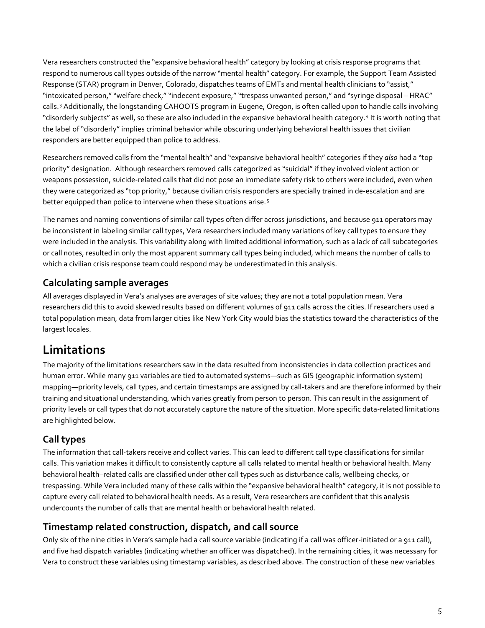Vera researchers constructed the "expansive behavioral health" category by looking at crisis response programs that respond to numerous call types outside of the narrow "mental health" category. For example, the Support Team Assisted Response (STAR) program in Denver, Colorado, dispatches teams of EMTs and mental health clinicians to "assist," "intoxicated person," "welfare check," "indecent exposure," "trespass unwanted person," and "syringe disposal – HRAC" calls. [3](#page-6-2) Additionally, the longstanding CAHOOTS program in Eugene, Oregon, is often called upon to handle calls involving "disorderly subjects" as well, so these are also included in the expansive behavioral health category. [4](#page-6-3) It is worth noting that the label of "disorderly" implies criminal behavior while obscuring underlying behavioral health issues that civilian responders are better equipped than police to address.

Researchers removed calls from the "mental health" and "expansive behavioral health" categories if they *also* had a "top priority" designation. Although researchers removed calls categorized as "suicidal" if they involved violent action or weapons possession, suicide-related calls that did not pose an immediate safety risk to others were included, even when they were categorized as "top priority," because civilian crisis responders are specially trained in de-escalation and are better equipped than police to intervene when these situations arise.<sup>[5](#page-6-4)</sup>

The names and naming conventions of similar call types often differ across jurisdictions, and because 911 operators may be inconsistent in labeling similar call types, Vera researchers included many variations of key call types to ensure they were included in the analysis. This variability along with limited additional information, such as a lack of call subcategories or call notes, resulted in only the most apparent summary call types being included, which means the number of calls to which a civilian crisis response team could respond may be underestimated in this analysis.

## **Calculating sample averages**

All averages displayed in Vera's analyses are averages of site values; they are not a total population mean. Vera researchers did this to avoid skewed results based on different volumes of 911 calls across the cities. If researchers used a total population mean, data from larger cities like New York City would bias the statistics toward the characteristics of the largest locales.

# **Limitations**

The majority of the limitations researchers saw in the data resulted from inconsistencies in data collection practices and human error. While many 911 variables are tied to automated systems—such as GIS (geographic information system) mapping—priority levels, call types, and certain timestamps are assigned by call-takers and are therefore informed by their training and situational understanding, which varies greatly from person to person. This can result in the assignment of priority levels or call types that do not accurately capture the nature of the situation. More specific data-related limitations are highlighted below.

## **Call types**

The information that call-takers receive and collect varies. This can lead to different call type classifications for similar calls. This variation makes it difficult to consistently capture all calls related to mental health or behavioral health. Many behavioral health–related calls are classified under other call types such as disturbance calls, wellbeing checks, or trespassing. While Vera included many of these calls within the "expansive behavioral health" category, it is not possible to capture every call related to behavioral health needs. As a result, Vera researchers are confident that this analysis undercounts the number of calls that are mental health or behavioral health related.

## **Timestamp related construction, dispatch, and call source**

Only six of the nine cities in Vera's sample had a call source variable (indicating if a call was officer-initiated or a 911 call), and five had dispatch variables (indicating whether an officer was dispatched). In the remaining cities, it was necessary for Vera to construct these variables using timestamp variables, as described above. The construction of these new variables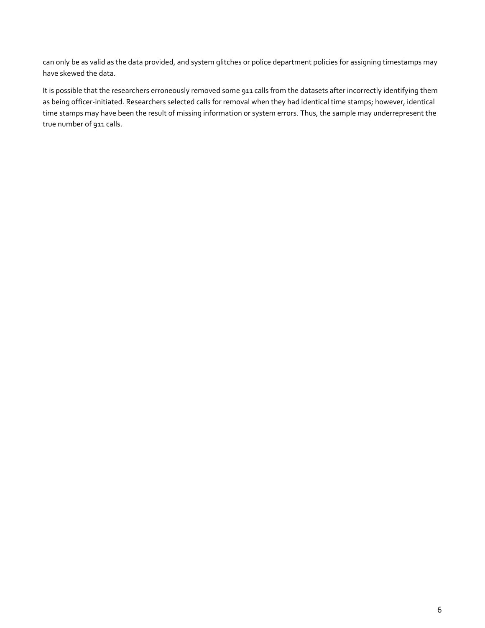can only be as valid as the data provided, and system glitches or police department policies for assigning timestamps may have skewed the data.

It is possible that the researchers erroneously removed some 911 calls from the datasets after incorrectly identifying them as being officer-initiated. Researchers selected calls for removal when they had identical time stamps; however, identical time stamps may have been the result of missing information or system errors. Thus, the sample may underrepresent the true number of 911 calls.